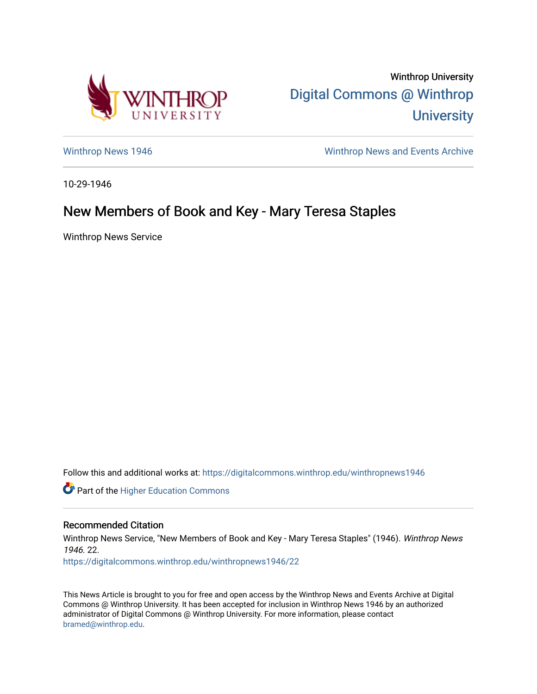

Winthrop University [Digital Commons @ Winthrop](https://digitalcommons.winthrop.edu/)  **University** 

[Winthrop News 1946](https://digitalcommons.winthrop.edu/winthropnews1946) Minthrop News and Events Archive

10-29-1946

## New Members of Book and Key - Mary Teresa Staples

Winthrop News Service

Follow this and additional works at: [https://digitalcommons.winthrop.edu/winthropnews1946](https://digitalcommons.winthrop.edu/winthropnews1946?utm_source=digitalcommons.winthrop.edu%2Fwinthropnews1946%2F22&utm_medium=PDF&utm_campaign=PDFCoverPages) 

Part of the [Higher Education Commons](http://network.bepress.com/hgg/discipline/1245?utm_source=digitalcommons.winthrop.edu%2Fwinthropnews1946%2F22&utm_medium=PDF&utm_campaign=PDFCoverPages) 

## Recommended Citation

Winthrop News Service, "New Members of Book and Key - Mary Teresa Staples" (1946). Winthrop News 1946. 22.

[https://digitalcommons.winthrop.edu/winthropnews1946/22](https://digitalcommons.winthrop.edu/winthropnews1946/22?utm_source=digitalcommons.winthrop.edu%2Fwinthropnews1946%2F22&utm_medium=PDF&utm_campaign=PDFCoverPages)

This News Article is brought to you for free and open access by the Winthrop News and Events Archive at Digital Commons @ Winthrop University. It has been accepted for inclusion in Winthrop News 1946 by an authorized administrator of Digital Commons @ Winthrop University. For more information, please contact [bramed@winthrop.edu.](mailto:bramed@winthrop.edu)